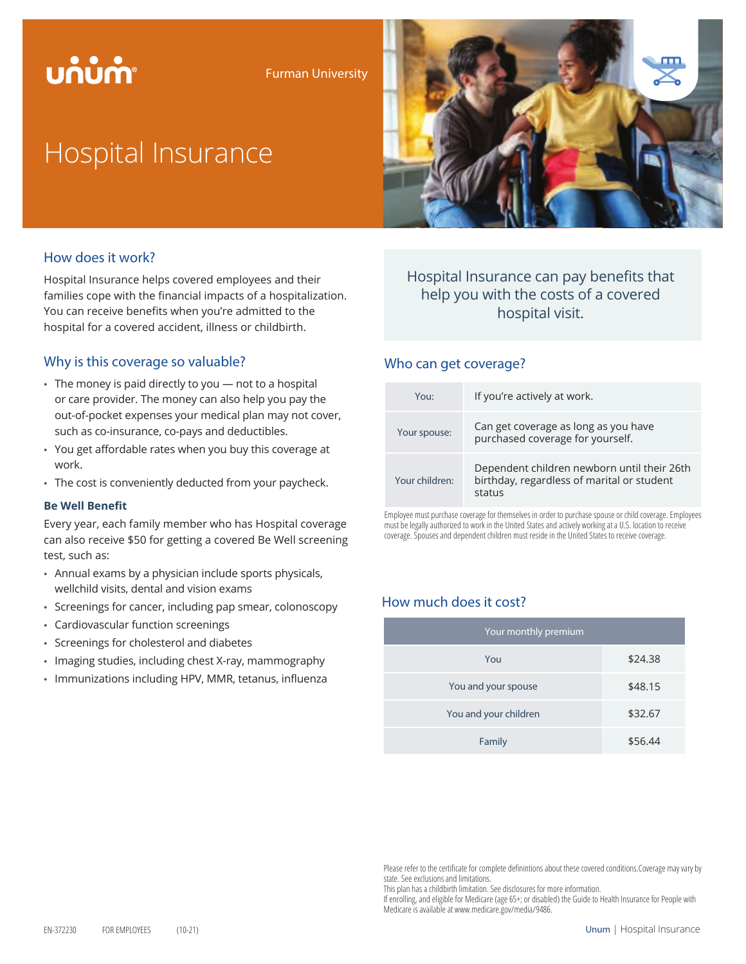# บก๋บ๋กำ

Furman University

# Hospital Insurance



## How does it work?

Hospital Insurance helps covered employees and their families cope with the financial impacts of a hospitalization. You can receive benefits when you're admitted to the hospital for a covered accident, illness or childbirth.

## Why is this coverage so valuable?

- The money is paid directly to you not to a hospital or care provider. The money can also help you pay the out-of-pocket expenses your medical plan may not cover, such as co-insurance, co-pays and deductibles.
- You get affordable rates when you buy this coverage at work.
- The cost is conveniently deducted from your paycheck.

### **Be Well Benefit**

Every year, each family member who has Hospital coverage can also receive \$50 for getting a covered Be Well screening test, such as:

- Annual exams by a physician include sports physicals, wellchild visits, dental and vision exams
- Screenings for cancer, including pap smear, colonoscopy
- Cardiovascular function screenings
- Screenings for cholesterol and diabetes
- Imaging studies, including chest X-ray, mammography
- Immunizations including HPV, MMR, tetanus, influenza

## Hospital Insurance can pay benefits that help you with the costs of a covered hospital visit.

### Who can get coverage?

| You:           | If you're actively at work.                                                                         |
|----------------|-----------------------------------------------------------------------------------------------------|
| Your spouse:   | Can get coverage as long as you have<br>purchased coverage for yourself.                            |
| Your children: | Dependent children newborn until their 26th<br>birthday, regardless of marital or student<br>status |

Employee must purchase coverage for themselves in order to purchase spouse or child coverage. Employees must be legally authorized to work in the United States and actively working at a U.S. location to receive coverage. Spouses and dependent children must reside in the United States to receive coverage.

## How much does it cost?

| Your monthly premium  |         |  |
|-----------------------|---------|--|
| You                   | \$24.38 |  |
| You and your spouse   | \$48.15 |  |
| You and your children | \$32.67 |  |
| Family                | \$56.44 |  |

Please refer to the certificate for complete definintions about these covered conditions.Coverage may vary by state. See exclusions and limitations.

This plan has a childbirth limitation. See disclosures for more information.

If enrolling, and eligible for Medicare (age 65+; or disabled) the Guide to Health Insurance for People with Medicare is available at www.medicare.gov/media/9486.